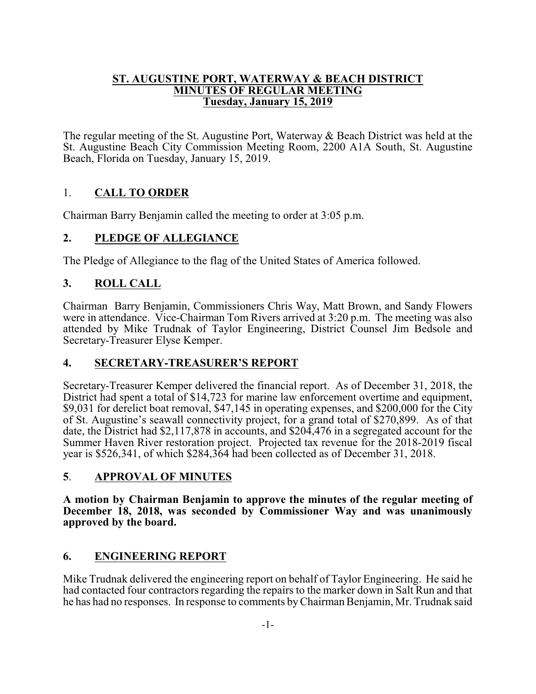#### **ST. AUGUSTINE PORT, WATERWAY & BEACH DISTRICT MINUTES OF REGULAR MEETING Tuesday, January 15, 2019**

The regular meeting of the St. Augustine Port, Waterway & Beach District was held at the St. Augustine Beach City Commission Meeting Room, 2200 A1A South, St. Augustine Beach, Florida on Tuesday, January 15, 2019.

# 1. **CALL TO ORDER**

Chairman Barry Benjamin called the meeting to order at 3:05 p.m.

# **2. PLEDGE OF ALLEGIANCE**

The Pledge of Allegiance to the flag of the United States of America followed.

# **3. ROLL CALL**

Chairman Barry Benjamin, Commissioners Chris Way, Matt Brown, and Sandy Flowers were in attendance. Vice-Chairman Tom Rivers arrived at 3:20 p.m. The meeting was also attended by Mike Trudnak of Taylor Engineering, District Counsel Jim Bedsole and Secretary-Treasurer Elyse Kemper.

# **4. SECRETARY-TREASURER'S REPORT**

Secretary-Treasurer Kemper delivered the financial report. As of December 31, 2018, the District had spent a total of \$14,723 for marine law enforcement overtime and equipment, \$9,031 for derelict boat removal, \$47,145 in operating expenses, and \$200,000 for the City of St. Augustine's seawall connectivity project, for a grand total of \$270,899. As of that date, the District had \$2,117,878 in accounts, and \$204,476 in a segregated account for the Summer Haven River restoration project. Projected tax revenue for the 2018-2019 fiscal year is \$526,341, of which \$284,364 had been collected as of December 31, 2018.

# **5**. **APPROVAL OF MINUTES**

**A motion by Chairman Benjamin to approve the minutes of the regular meeting of December 18, 2018, was seconded by Commissioner Way and was unanimously approved by the board.**

# **6. ENGINEERING REPORT**

Mike Trudnak delivered the engineering report on behalf of Taylor Engineering. He said he had contacted four contractors regarding the repairs to the marker down in Salt Run and that he has had no responses. In response to comments byChairman Benjamin, Mr. Trudnak said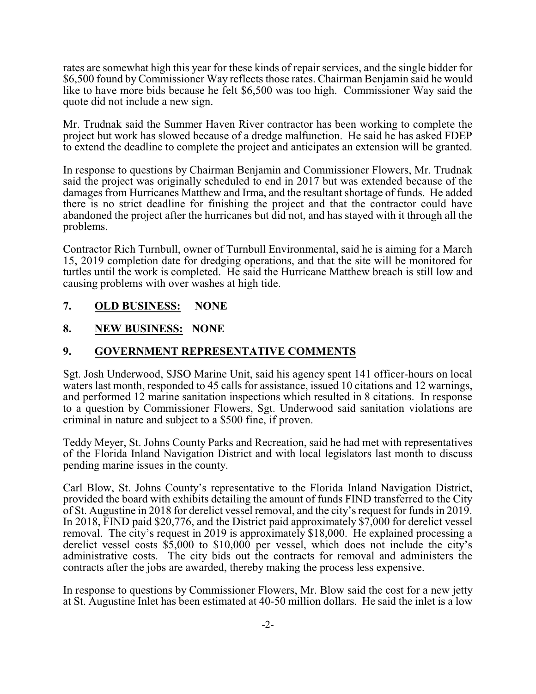rates are somewhat high this year for these kinds of repair services, and the single bidder for \$6,500 found byCommissioner Way reflects those rates. Chairman Benjamin said he would like to have more bids because he felt \$6,500 was too high. Commissioner Way said the quote did not include a new sign.

Mr. Trudnak said the Summer Haven River contractor has been working to complete the project but work has slowed because of a dredge malfunction. He said he has asked FDEP to extend the deadline to complete the project and anticipates an extension will be granted.

In response to questions by Chairman Benjamin and Commissioner Flowers, Mr. Trudnak said the project was originally scheduled to end in 2017 but was extended because of the damages from Hurricanes Matthew and Irma, and the resultant shortage of funds. He added there is no strict deadline for finishing the project and that the contractor could have abandoned the project after the hurricanes but did not, and has stayed with it through all the problems.

Contractor Rich Turnbull, owner of Turnbull Environmental, said he is aiming for a March 15, 2019 completion date for dredging operations, and that the site will be monitored for turtles until the work is completed. He said the Hurricane Matthew breach is still low and causing problems with over washes at high tide.

- **7. OLD BUSINESS: NONE**
- **8. NEW BUSINESS: NONE**

#### **9. GOVERNMENT REPRESENTATIVE COMMENTS**

Sgt. Josh Underwood, SJSO Marine Unit, said his agency spent 141 officer-hours on local waters last month, responded to 45 calls for assistance, issued 10 citations and 12 warnings, and performed 12 marine sanitation inspections which resulted in 8 citations. In response to a question by Commissioner Flowers, Sgt. Underwood said sanitation violations are criminal in nature and subject to a \$500 fine, if proven.

Teddy Meyer, St. Johns County Parks and Recreation, said he had met with representatives of the Florida Inland Navigation District and with local legislators last month to discuss pending marine issues in the county.

Carl Blow, St. Johns County's representative to the Florida Inland Navigation District, provided the board with exhibits detailing the amount of funds FIND transferred to the City of St. Augustine in 2018 for derelict vessel removal, and the city's request for funds in 2019. In 2018, FIND paid \$20,776, and the District paid approximately \$7,000 for derelict vessel removal. The city's request in 2019 is approximately \$18,000. He explained processing a derelict vessel costs \$5,000 to \$10,000 per vessel, which does not include the city's administrative costs. The city bids out the contracts for removal and administers the contracts after the jobs are awarded, thereby making the process less expensive.

In response to questions by Commissioner Flowers, Mr. Blow said the cost for a new jetty at St. Augustine Inlet has been estimated at 40-50 million dollars. He said the inlet is a low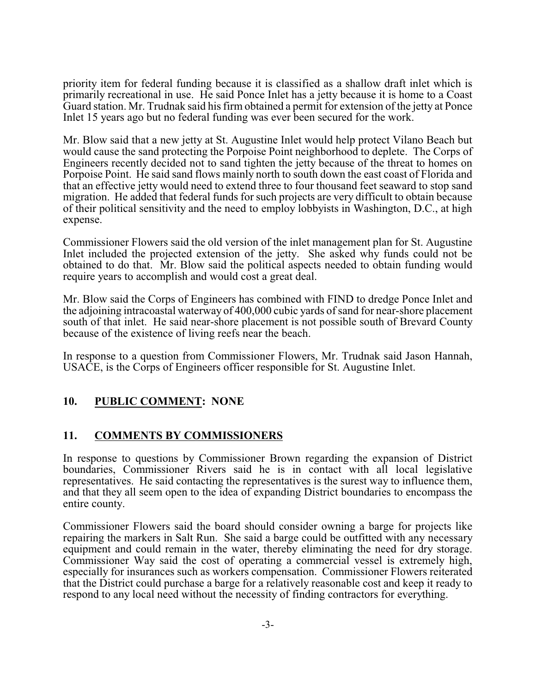priority item for federal funding because it is classified as a shallow draft inlet which is primarily recreational in use. He said Ponce Inlet has a jetty because it is home to a Coast Guard station. Mr. Trudnak said his firm obtained a permit for extension of the jetty at Ponce Inlet 15 years ago but no federal funding was ever been secured for the work.

Mr. Blow said that a new jetty at St. Augustine Inlet would help protect Vilano Beach but would cause the sand protecting the Porpoise Point neighborhood to deplete. The Corps of Engineers recently decided not to sand tighten the jetty because of the threat to homes on Porpoise Point. He said sand flows mainly north to south down the east coast of Florida and that an effective jetty would need to extend three to four thousand feet seaward to stop sand migration. He added that federal funds for such projects are very difficult to obtain because of their political sensitivity and the need to employ lobbyists in Washington, D.C., at high expense.

Commissioner Flowers said the old version of the inlet management plan for St. Augustine Inlet included the projected extension of the jetty. She asked why funds could not be obtained to do that. Mr. Blow said the political aspects needed to obtain funding would require years to accomplish and would cost a great deal.

Mr. Blow said the Corps of Engineers has combined with FIND to dredge Ponce Inlet and the adjoining intracoastal waterway of 400,000 cubic yards of sand for near-shore placement south of that inlet. He said near-shore placement is not possible south of Brevard County because of the existence of living reefs near the beach.

In response to a question from Commissioner Flowers, Mr. Trudnak said Jason Hannah, USACE, is the Corps of Engineers officer responsible for St. Augustine Inlet.

#### **10. PUBLIC COMMENT: NONE**

#### **11. COMMENTS BY COMMISSIONERS**

In response to questions by Commissioner Brown regarding the expansion of District boundaries, Commissioner Rivers said he is in contact with all local legislative representatives. He said contacting the representatives is the surest way to influence them, and that they all seem open to the idea of expanding District boundaries to encompass the entire county.

Commissioner Flowers said the board should consider owning a barge for projects like repairing the markers in Salt Run. She said a barge could be outfitted with any necessary equipment and could remain in the water, thereby eliminating the need for dry storage. Commissioner Way said the cost of operating a commercial vessel is extremely high, especially for insurances such as workers compensation. Commissioner Flowers reiterated that the District could purchase a barge for a relatively reasonable cost and keep it ready to respond to any local need without the necessity of finding contractors for everything.